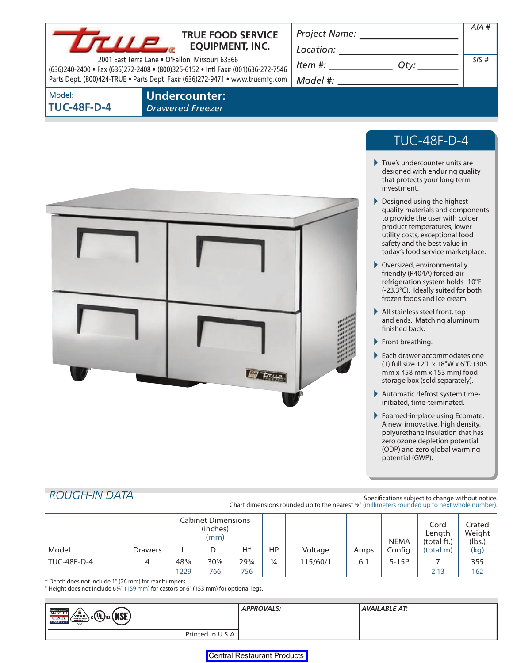

## **TRUE FOOD SERVICE EQUIPMENT, INC.**

2001 East Terra Lane • O'Fallon, Missouri 63366 (636)240-2400 • Fax (636)272-2408 • (800)325-6152 • Intl Fax# (001)636-272-7546 Parts Dept. (800)424-TRUE • Parts Dept. Fax# (636)272-9471 • www.truemfg.com

*Project Name:* 

*Location:* 

*Item #: Qty: Model #:* 

*SIS #* 

*AIA #* 

Model: **TUC-48F-D-4**  **Undercounter:**  *Drawered Freezer* 



# TUC-48F-D-4

- True's undercounter units are designed with enduring quality that protects your long term investment.
- Designed using the highest quality materials and components to provide the user with colder product temperatures, lower utility costs, exceptional food safety and the best value in today's food service marketplace.
- Oversized, environmentally friendly (R404A) forced-air refrigeration system holds -10°F (-23.3°C). Ideally suited for both frozen foods and ice cream.
- All stainless steel front, top and ends. Matching aluminum finished back.
- Front breathing.
- Each drawer accommodates one (1) full size 12"L x 18"W x 6"D (305 mm x 458 mm x 153 mm) food storage box (sold separately).
- Automatic defrost system timeinitiated, time-terminated.
- Foamed-in-place using Ecomate. A new, innovative, high density, polyurethane insulation that has zero ozone depletion potential (ODP) and zero global warming potential (GWP).

**ROUGH-IN DATA Specifications subject to change without notice.** Chart dimensions rounded up to the nearest <sup>1/8</sup>" (millimeters rounded up to next whole number).

|                    |                | Cabinet Dimensions<br>(inches)<br>(mm) |                |       |               |          |      | <b>NEMA</b> | Cord<br>Length<br>(total ft.) | Crated<br>Weight<br>(lbs.) |
|--------------------|----------------|----------------------------------------|----------------|-------|---------------|----------|------|-------------|-------------------------------|----------------------------|
| Model              | <b>Drawers</b> |                                        | D <sup>+</sup> | $H^*$ | HP            | Voltage  | Amps | Config.     | (total m)                     | (kg)                       |
| <b>TUC-48F-D-4</b> |                | 48%                                    | $30\%$         | 293/4 | $\frac{1}{4}$ | 115/60/1 | 6.1  | $5-15P$     |                               | 355                        |
|                    |                | 1229                                   | 766            | 756   |               |          |      |             | 2.13                          | 162                        |

† Depth does not include 1" (26 mm) for rear bumpers.

\* Height does not include 6¼" (159 mm) for castors or 6" (153 mm) for optional legs.

| THE RESISTING THE MADE IN<br>$\sqrt{\frac{5}{\text{FAR}}}\$<br>(NSE)<br>$_{\rm c}$ (VL) $_{\rm us}$<br>U.S.A.<br><b>SINCE 1945</b><br><b>USA</b> | <b>APPROVALS:</b> | AVAILABLE AT: |
|--------------------------------------------------------------------------------------------------------------------------------------------------|-------------------|---------------|
| Printed in U.S.A.                                                                                                                                |                   |               |